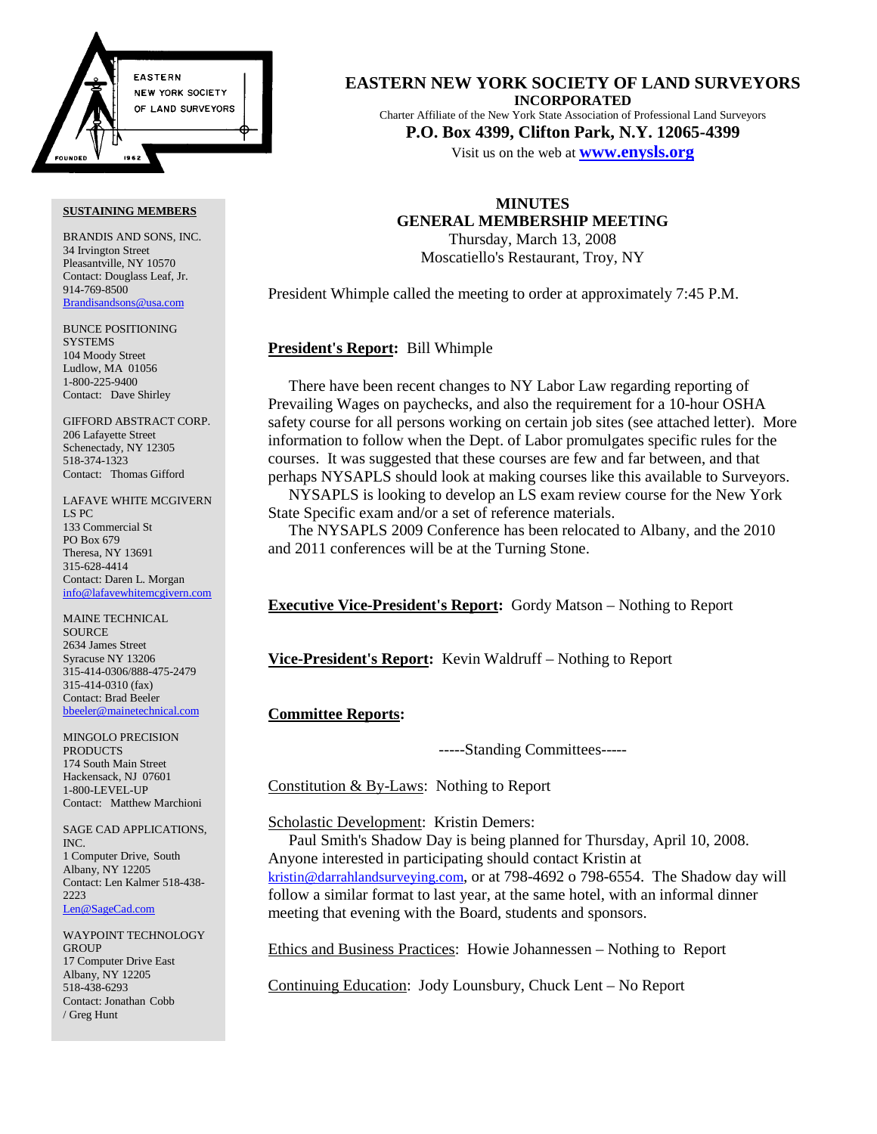

#### **SUSTAINING MEMBERS**

BRANDIS AND SONS, INC. 34 Irvington Street Pleasantville, NY 10570 Contact: Douglass Leaf, Jr. 914-769-8500 Brandisandsons@usa.com

BUNCE POSITIONING **SYSTEMS** 104 Moody Street Ludlow, MA 01056 1-800-225-9400 Contact: Dave Shirley

GIFFORD ABSTRACT CORP. 206 Lafayette Street Schenectady, NY 12305 518-374-1323 Contact: Thomas Gifford

LAFAVE WHITE MCGIVERN LS PC 133 Commercial St PO Box 679 Theresa, NY 13691 315-628-4414 Contact: Daren L. Morgan info@lafavewhitemcgivern.com

MAINE TECHNICAL SOURCE 2634 James Street Syracuse NY 13206 315-414-0306/888-475-2479 315-414-0310 (fax) Contact: Brad Beeler bbeeler@mainetechnical.com

MINGOLO PRECISION **PRODUCTS** 174 South Main Street Hackensack, NJ 07601 1-800-LEVEL-UP Contact: Matthew Marchioni

SAGE CAD APPLICATIONS, INC. 1 Computer Drive, South Albany, NY 12205 Contact: Len Kalmer 518-438- 2223 Len@SageCad.com

WAYPOINT TECHNOLOGY **GROUP** 17 Computer Drive East Albany, NY 12205 518-438-6293 Contact: Jonathan Cobb / Greg Hunt

**EASTERN NEW YORK SOCIETY OF LAND SURVEYORS INCORPORATED** Charter Affiliate of the New York State Association of Professional Land Surveyors **P.O. Box 4399, Clifton Park, N.Y. 12065-4399**

Visit us on the web at **www.enysls.org**

**MINUTES GENERAL MEMBERSHIP MEETING** Thursday, March 13, 2008

Moscatiello's Restaurant, Troy, NY

President Whimple called the meeting to order at approximately 7:45 P.M.

### **President's Report:** Bill Whimple

There have been recent changes to NY Labor Law regarding reporting of Prevailing Wages on paychecks, and also the requirement for a 10-hour OSHA safety course for all persons working on certain job sites (see attached letter). More information to follow when the Dept. of Labor promulgates specific rules for the courses. It was suggested that these courses are few and far between, and that perhaps NYSAPLS should look at making courses like this available to Surveyors.

NYSAPLS is looking to develop an LS exam review course for the New York State Specific exam and/or a set of reference materials.

The NYSAPLS 2009 Conference has been relocated to Albany, and the 2010 and 2011 conferences will be at the Turning Stone.

**Executive Vice-President's Report:** Gordy Matson – Nothing to Report

**Vice-President's Report:** Kevin Waldruff – Nothing to Report

#### **Committee Reports:**

-----Standing Committees-----

Constitution & By-Laws: Nothing to Report

Scholastic Development: Kristin Demers: Paul Smith's Shadow Day is being planned for Thursday, April 10, 2008. Anyone interested in participating should contact Kristin at [kristin@darrahlandsurveying.com,](mailto:kristin@darrahlandsurveying.com) or at 798-4692 o 798-6554. The Shadow day will follow a similar format to last year, at the same hotel, with an informal dinner meeting that evening with the Board, students and sponsors.

Ethics and Business Practices: Howie Johannessen – Nothing to Report

Continuing Education: Jody Lounsbury, Chuck Lent – No Report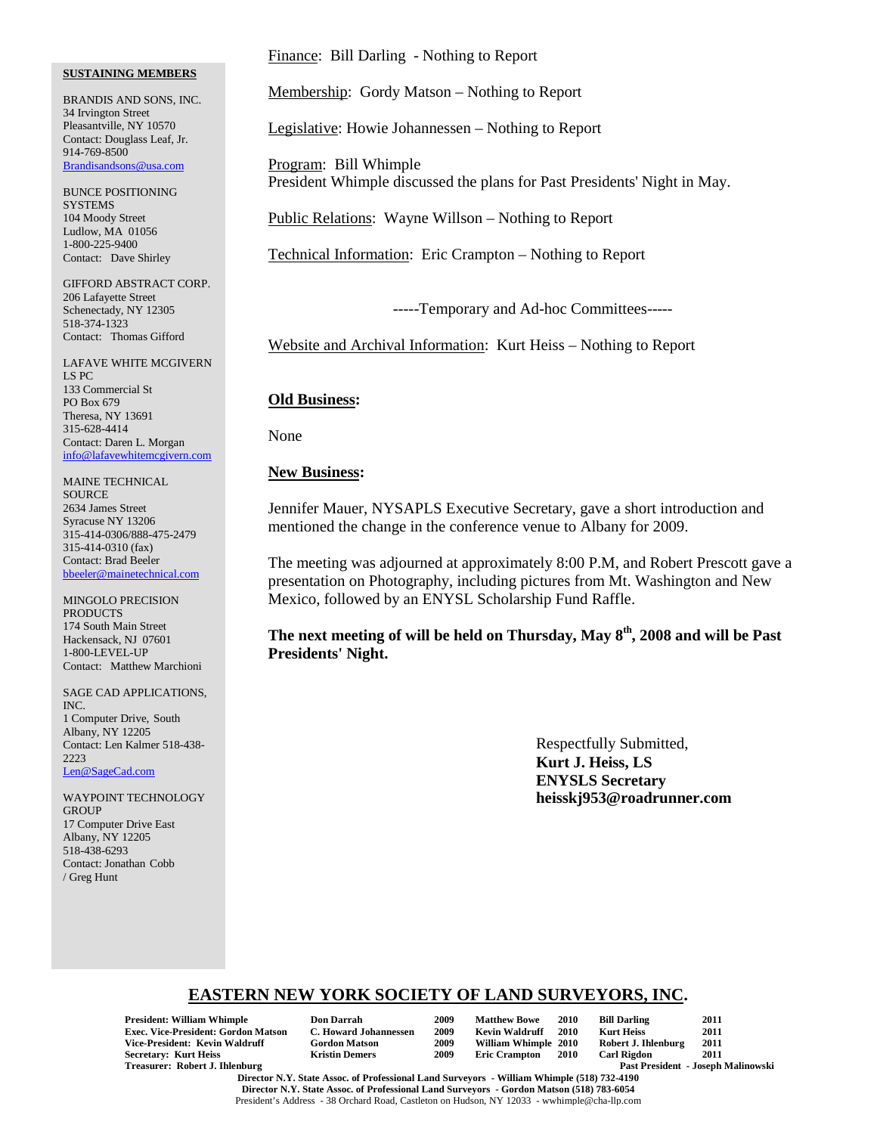#### **SUSTAINING MEMBERS**

BRANDIS AND SONS, INC. 34 Irvington Street Pleasantville, NY 10570 Contact: Douglass Leaf, Jr. 914-769-8500 Brandisandsons@usa.com

BUNCE POSITIONING **SYSTEMS** 104 Moody Street Ludlow, MA 01056 1-800-225-9400 Contact: Dave Shirley

GIFFORD ABSTRACT CORP. 206 Lafayette Street Schenectady, NY 12305 518-374-1323 Contact: Thomas Gifford

LAFAVE WHITE MCGIVERN LS PC 133 Commercial St PO Box 679 Theresa, NY 13691 315-628-4414 Contact: Daren L. Morgan info@lafavewhitemcgivern.com

MAINE TECHNICAL **SOURCE** 2634 James Street Syracuse NY 13206 315-414-0306/888-475-2479 315-414-0310 (fax) Contact: Brad Beeler bbeeler@mainetechnical.com

MINGOLO PRECISION PRODUCTS 174 South Main Street Hackensack, NJ 07601 1-800-LEVEL-UP Contact: Matthew Marchioni

SAGE CAD APPLICATIONS, INC. 1 Computer Drive, South Albany, NY 12205 Contact: Len Kalmer 518-438- 2223 Len@SageCad.com

WAYPOINT TECHNOLOGY **GROUP** 17 Computer Drive East Albany, NY 12205 518-438-6293 Contact: Jonathan Cobb / Greg Hunt

Finance: Bill Darling - Nothing to Report

Membership: Gordy Matson – Nothing to Report

Legislative: Howie Johannessen – Nothing to Report

Program: Bill Whimple President Whimple discussed the plans for Past Presidents' Night in May.

Public Relations: Wayne Willson – Nothing to Report

Technical Information: Eric Crampton – Nothing to Report

-----Temporary and Ad-hoc Committees-----

Website and Archival Information: Kurt Heiss – Nothing to Report

#### **Old Business:**

None

#### **New Business:**

Jennifer Mauer, NYSAPLS Executive Secretary, gave a short introduction and mentioned the change in the conference venue to Albany for 2009.

The meeting was adjourned at approximately 8:00 P.M, and Robert Prescott gave a presentation on Photography, including pictures from Mt. Washington and New Mexico, followed by an ENYSL Scholarship Fund Raffle.

**The next meeting of will be held on Thursday, May 8th, 2008 and will be Past Presidents' Night.**

> Respectfully Submitted, **Kurt J. Heiss, LS ENYSLS Secretary heisskj953@roadrunner.com**

### **EASTERN NEW YORK SOCIETY OF LAND SURVEYORS, INC.**

**President: William Whimple Don Darrah 2009 Matthew Bowe 2010 Bill Darling 2011** Exec. Vice-President: Gordon Matson C. Howard Johannessen 2009 Kevin Waldruff 2010 **Vice-President: Kevin Waldruff Gordon Matson 2009 William Whimple 2010 Robert J. Ihlenburg 2011 Secretary: Kurt Heiss<br>Treasurer: Robert J. Ihlenburg** 

| Don Darrah          |
|---------------------|
| C. Howard Johanness |
| Gordon Matson       |
| Kristin Demers      |

Past President - Joseph Malinowski **Director N.Y. State Assoc. of Professional Land Surveyors - William Whimple (518) 732-4190 Director N.Y. State Assoc. of Professional Land Surveyors - Gordon Matson (518) 783-6054** President's Address - 38 Orchard Road, Castleton on Hudson, NY 12033 - wwhimple@cha-llp.com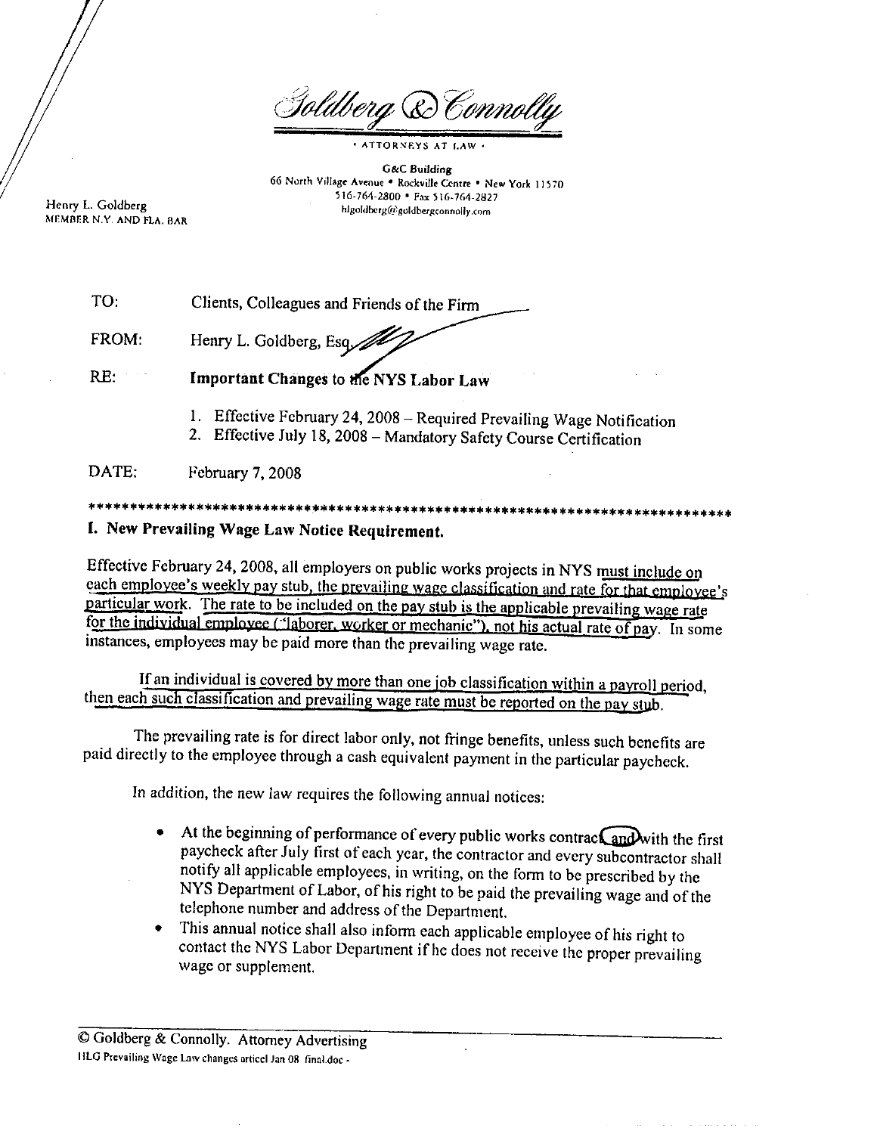Ioldb*erg* (& <u>i</u>mmai

ATTORNEYS AT LAW

**G&C Building** 66 North Village Avenue . Rockville Centre . New York 11570 516-764-2800 · Fax 516-764-2827 hlgoldberg@goldbergconnolly.com

Henry L. Goldberg MEMBER N.Y. AND FLA. BAR

> TO: Clients, Colleagues and Friends of the Firm

FROM:

Henry L. Goldberg, Esq

RE: Important Changes to the NYS Labor Law

- 1. Effective February 24, 2008 Required Prevailing Wage Notification
- 2. Effective July 18, 2008 Mandatory Safety Course Certification

DATE: February 7, 2008

\*\*\*\*\*\*\*\*\*\*\*\*\*\*\*\*\*\*\*\*\*\*\*\*

# I. New Prevailing Wage Law Notice Requirement.

Effective February 24, 2008, all employers on public works projects in NYS must include on each employee's weekly pay stub, the prevailing wage classification and rate for that employee's particular work. The rate to be included on the pay stub is the applicable prevailing wage rate for the individual employee ("laborer, worker or mechanic"), not his actual rate of pay. In some instances, employees may be paid more than the prevailing wage rate.

If an individual is covered by more than one job classification within a payroll period, then each such classification and prevailing wage rate must be reported on the pay stub.

The prevailing rate is for direct labor only, not fringe benefits, unless such benefits are paid directly to the employee through a cash equivalent payment in the particular paycheck.

In addition, the new law requires the following annual notices:

- At the beginning of performance of every public works contract and with the first paycheck after July first of each year, the contractor and every subcontractor shall notify all applicable employees, in writing, on the form to be prescribed by the NYS Department of Labor, of his right to be paid the prevailing wage and of the telephone number and address of the Department.
- This annual notice shall also inform each applicable employee of his right to contact the NYS Labor Department if he does not receive the proper prevailing wage or supplement.